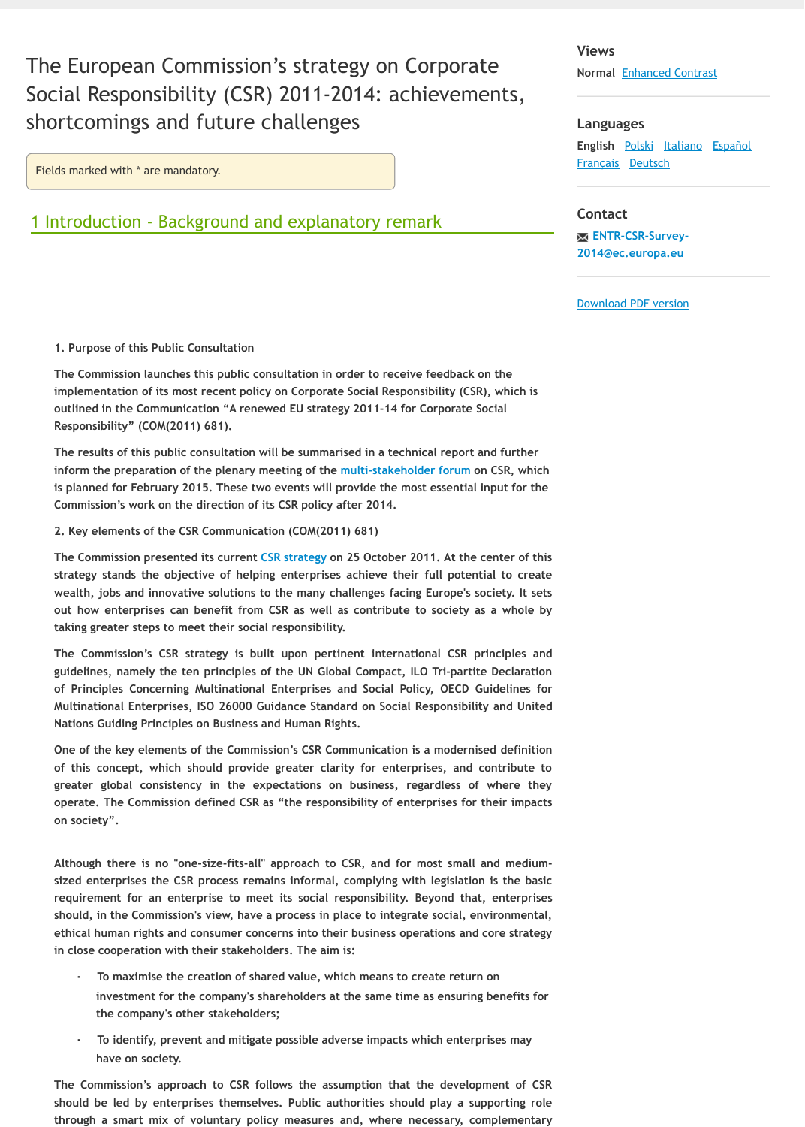The results of this public consultation will be summarised in a technical report and furthe inform the preparation of the plenary meeting of the multi-stakeholder forum on CSR, wh is planned for February 2015. These two events will provide the most essential input for t **Commission's work on the direction of its CSR policy after 2014.**

**2. Key elements of the CSR Communication (COM(2011) 681)**

The Commission presented its current CSR strategy on 25 October 2011. At the center of t strategy stands the objective of helping enterprises achieve their full potential to cre wealth, jobs and innovative solutions to the many challenges facing Europe's society. It s **out how enterprises can benefit from CSR as well as contribute to society as a whole by taking greater steps to meet their social responsibility.**

**The Commission's CSR strategy is built upon pertinent international CSR principles** and guidelines, namely the ten principles of the UN Global Compact, ILO Tri-partite Declarat **of Principles Concerning Multinational Enterprises and Social Policy, OECD Guidelines for Multinational Enterprises, ISO 26000 Guidance Standard on Social Responsibility and United Nations Guiding Principles on Business and Human Rights.**

**One of the key elements of the Commission's CSR Communication is a modernised definit of this concept, which should provide greater clarity for enterprises, and contribute to** greater global consistency in the expectations on business, regardless of where the operate. The Commission defined CSR as "the responsibility of enterprises for their impa **on society".**

Although there is no "one-size-fits-all" approach to CSR, and for most small and medium sized enterprises the CSR process remains informal, complying with legislation is the ba **requirement for an enterprise to meet its social r[esponsibility. Beyond th](http://ec.europa.eu/enterprise/policies/sustainable-business/corporate-social-responsibility/multi-stakeholder-forum/index_en.htm)at, enterprises** should, in the Commission's view, have a process in place to integrate social, environment ethical human rights and consumer concerns into their business operations and core strate **in close cooperation with their stakeholders. The aim is:**

- **· To maximise the creation of shared value, which means to create return on investment for the company's [shareholders](http://ec.europa.eu/enterprise/policies/sustainable-business/files/csr/new-csr/act_en.pdf) at the same time as ensuring benefits** for **the company's other stakeholders;**
- **· To identify, prevent and mitigate possible adverse impacts which enterprises may have on society.**

The Commission's approach to CSR follows the assumption that the development of G should be led by enterprises themselves. Public authorities should play a supporting r through a smart mix of voluntary policy measures and, where necessary, complement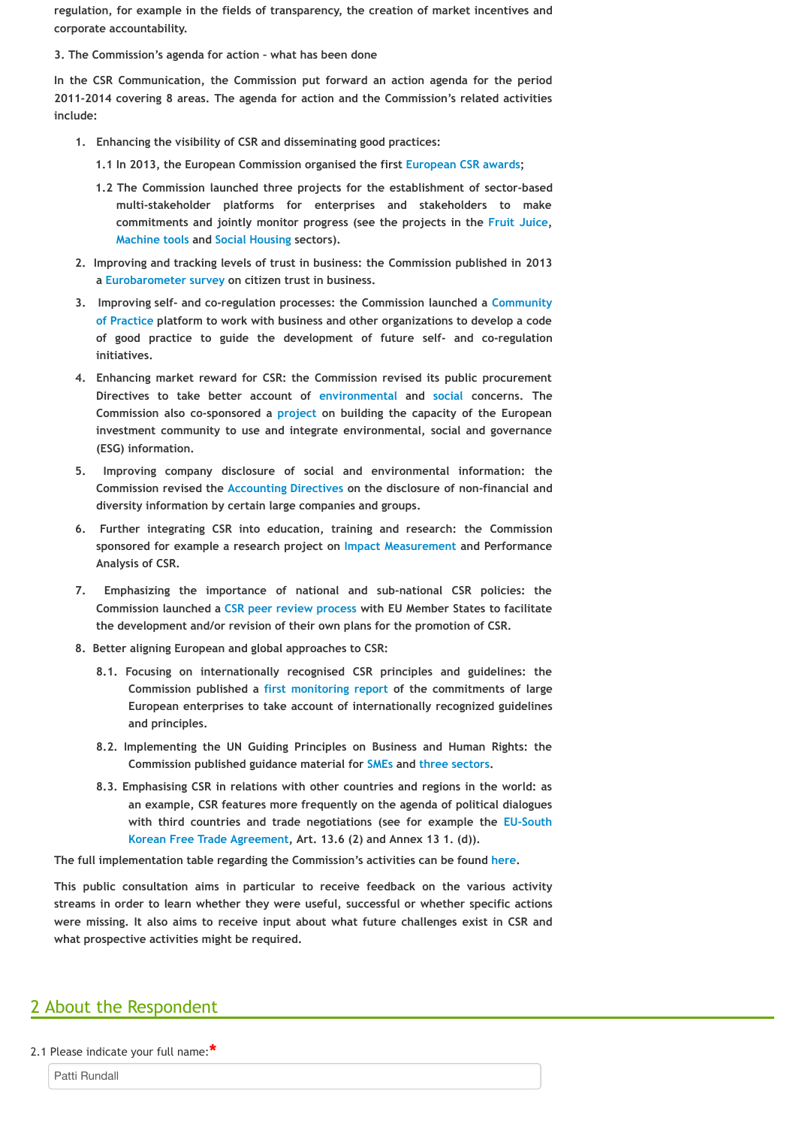- **investment community to use and integrate environmental, social and governance (ESG) information.**
- **5. Improving company disclosure of social and environmental information: the Commission revised the Accounting Directives on the disclosure of non-financial and diversity information by certain large companies and groups.**
- **6.** Further integrating CSR into education, training and research: the Commiss sponsored for example a research project on Impact Measurement and Performal **Analysis of CSR.**
- **7. Emphasizing the importance of national and sub-[national CSR policies](http://www.europeancsrawards.eu/): the Commission launched a CSR peer review process with EU Member States to facilit the development and/or revision of their own plans for the promotion of CSR.**
- **8. Better aligning European and global approaches to CSR:**
	- **8.1[. Focusing on](http://www.csreurope.org/csr-and-sustainability-machine-tools-sector) in[ternationally r](http://www.responsiblehousing.eu/en/)ecognised CSR principles and guidelines: the** Commission published a first monitoring report of the commitments of la **[European enterpri](http://ec.europa.eu/public_opinion/flash/fl_363_en.pdf)ses to take account of internationally recognized guideli and principles.**
	- **8.2. Implementing the UN Guiding Principles on Business and Human Rights: Commission published guidance material for SMEs and three sectors.**
	- **8.3. Emphasising CSR in relations with other countries and regions in the world:** an example, CSR features more frequently on the agenda of political dialog **with third countries and trade n[egotiations \(see](http://ec.europa.eu/internal_market/publicprocurement/docs/modernising_rules/reform/fact-sheets/fact-sheet-07-environmental_en.pdf) for [examp](http://ec.europa.eu/internal_market/publicprocurement/docs/modernising_rules/reform/fact-sheets/fact-sheet-08-social_en.pdf)le the EU-So Korean Free Trade Agreem[ent, Art.](http://ec.europa.eu/enterprise/policies/sustainable-business/files/reporting-disclosure/1-integrated-esg-analysis_en.pdf) 13.6 (2) and Annex 13 1. (d)).**

**The full implementation table regarding the Commission's activities can be found here.**

This public consultation aims in particular to receive feedback on the various activ streams in order to learn whether they were useful, successful or whether specific acti **were missing. It also aims to r[eceive input about wh](http://ec.europa.eu/internal_market/accounting/non-financial_reporting/index_en.htm)at future challenges exist in CSR and all of the state in CSR what prospective activities might be required.**

## 2 About the Respondent

2.1 Please indicate your full name: **\***

Patti Rundall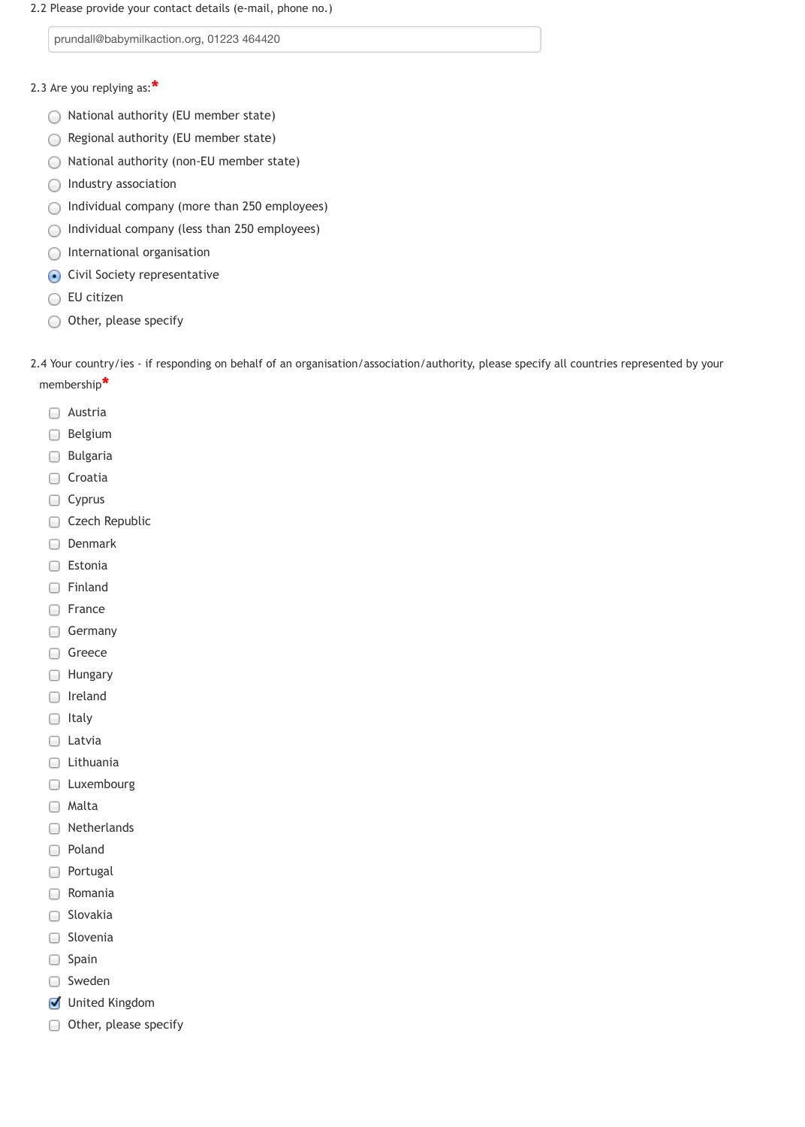2.2 Please provide your contact details (e-mail, phone no.)

- 2.3 Are you replying as: **\***
	- National authority (EU member state)  $\left(\begin{array}{c} \end{array}\right)$
	- Regional authority (EU member state)  $\bigcirc$
	- National authority (non-EU member state) O
	- Industry association  $\left(\begin{array}{c} \end{array}\right)$
	- Individual company (more than 250 employees) O
	- Individual company (less than 250 employees)  $\bigcirc$
	- International organisation  $\left( \quad \right)$
	- Civil Society representative  $\bigodot$
	- EU citizen
	- Other, please specify ○

prundall@babymilkaction.org, 01223 464420

2.4 Your country/ies - if responding on behalf of an organisation/association/authority, please specify all countries represented by your membership **\***

- **Austria**
- **Belgium**
- □ Bulgaria
- □ Croatia
- Cyprus
- Czech Republic
- Denmark □
- □ Estonia
- □ Finland
- **France**
- Germany  $\cup$
- Greece  $\Box$
- **E** Hungary
- □ Ireland
- $\Box$  Italy
- □ Latvia
- □ Lithuania
- **Luxembourg**
- 
- □ Malta
- Netherlands 0
- Poland  $\Box$
- Portugal  $\Box$
- Romania U
- Slovakia U
- Slovenia 0
- □ Spain
- □ Sweden
- United Kingdom
- Other, please specify 0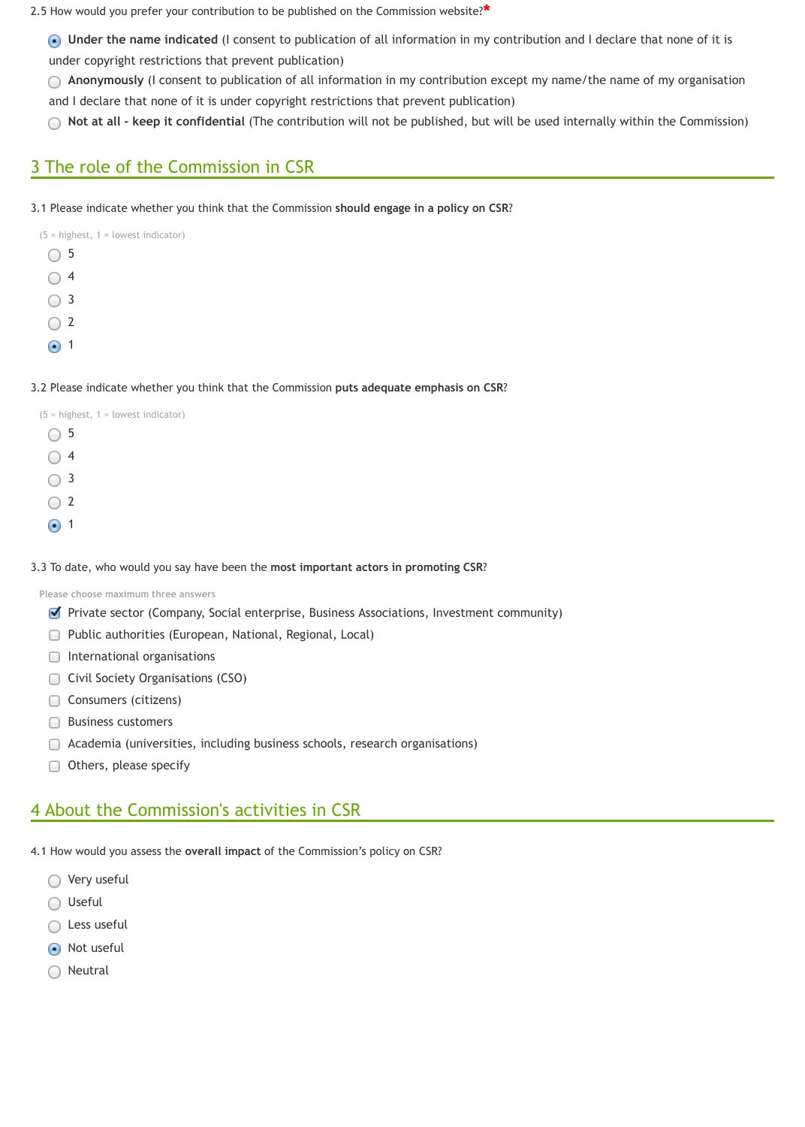**Under the name indicated** (I consent to publication of all information in my contribution and I declare that none of it is under copyright restrictions that prevent publication)

**Anonymously** (I consent to publication of all information in my contribution except my name/the name of my organisation ◯ and I declare that none of it is under copyright restrictions that prevent publication)

|               | $(5 = highest, 1 = lowest indicator)$ |
|---------------|---------------------------------------|
| 5             |                                       |
| 4             |                                       |
| 3             |                                       |
| $\mathcal{L}$ |                                       |
|               |                                       |

 $\odot$  1

**Not at all - keep it confidential** (The contribution will not be published, but will be used internally within the Commission)

# 3 The role of the Commission in CSR

3.1 Please indicate whether you think that the Commission **should engage in a policy on CSR**?

 $(5 =$  highest,  $1 =$  lowest indicator)  $\bigcirc$  5  $\bigcirc$  4  $\bigcirc$  3  $\bigcirc$  2  $\odot$  1

Very useful  $\bigcirc$ 

Useful  $($ 

2.5 How would you prefer your contribution to be published on the Commission website? **\***

#### 3.2 Please indicate whether you think that the Commission **puts adequate emphasis on CSR**?

3.3 To date, who would you say have been the **most important actors in promoting CSR**?

**Please choose maximum three answers**

- **Private sector (Company, Social enterprise, Business Associations, Investment community)**
- □ Public authorities (European, National, Regional, Local)
- **International organisations**
- **Civil Society Organisations (CSO)**
- Consumers (citizens)  $\begin{array}{c} \square \end{array}$
- Business customers
- Academia (universities, including business schools, research organisations)
- $\Box$  Others, please specify

4.1 How would you assess the **overall impact** of the Commission's policy on CSR?

Less useful

Not useful

◯ Neutral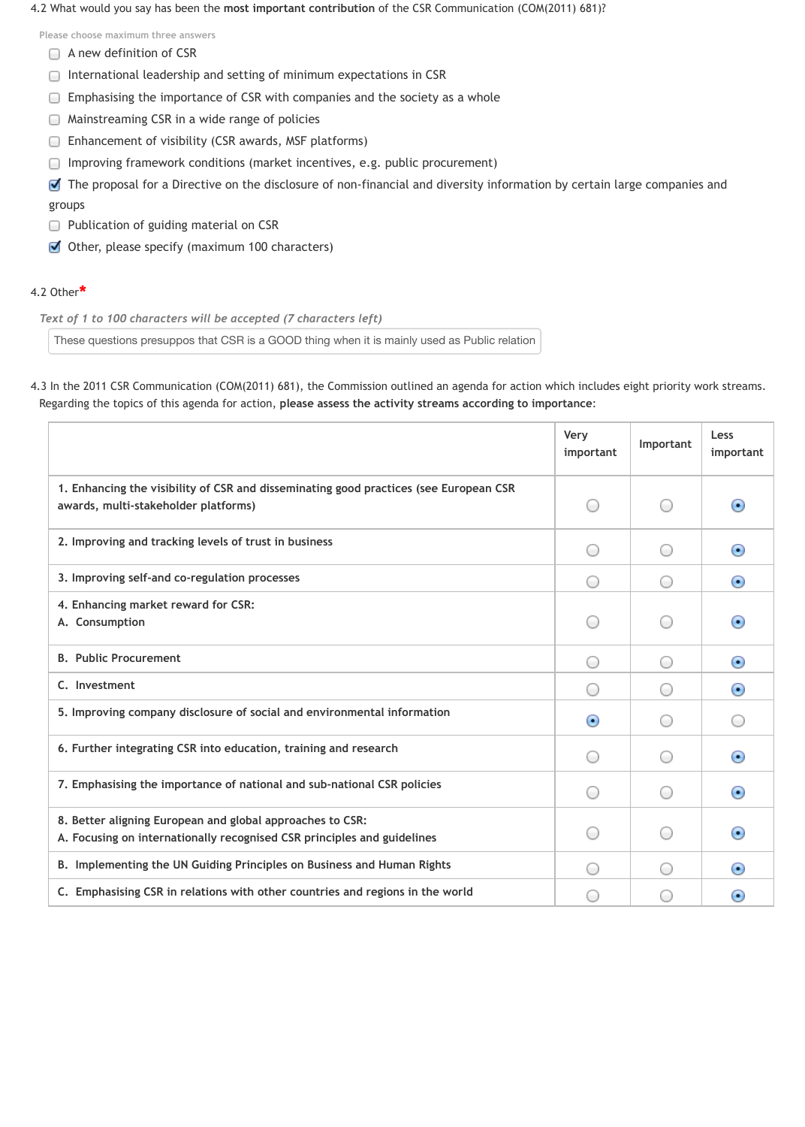#### 4.2 What would you say has been the **most important contribution** of the CSR Communication (COM(2011) 681)?

**Please choose maximum three answers**

- A new definition of CSR
- International leadership and setting of minimum expectations in CSR 0
- Emphasising the importance of CSR with companies and the society as a whole 0
- Mainstreaming CSR in a wide range of policies O
- Enhancement of visibility (CSR awards, MSF platforms) O
- Improving framework conditions (market incentives, e.g. public procurement)  $\cup$
- The proposal for a Directive on the disclosure of non-financial and diversity information by certain large companies and groups
- **Publication of guiding material on CSR**
- Other, please specify (maximum 100 characters)

*Text of 1 to 100 characters will be accepted (7 characters left)*

These questions presuppos that CSR is a GOOD thing when it is mainly used as Public relation

4.3 In the 2011 CSR Communication (COM(2011) 681), the Commission outlined an agenda for action which includes eight priority work streams. Regarding the topics of this agenda for action, **please assess the activity streams according to importance**:

## 4.2 Other **\***

|                                                                                                                                      | <b>Very</b><br>important                      | Important                                   | Less<br>important        |
|--------------------------------------------------------------------------------------------------------------------------------------|-----------------------------------------------|---------------------------------------------|--------------------------|
| 1. Enhancing the visibility of CSR and disseminating good practices (see European CSR<br>awards, multi-stakeholder platforms)        |                                               | $($ )                                       | $\left( \bullet \right)$ |
| 2. Improving and tracking levels of trust in business                                                                                | (                                             | $($ )                                       | $\left( \bullet \right)$ |
| 3. Improving self-and co-regulation processes                                                                                        | $($ )                                         | (                                           | $\left( \bullet \right)$ |
| 4. Enhancing market reward for CSR:<br>A. Consumption                                                                                |                                               | $\left( \quad \right)$                      | $\left( \bullet \right)$ |
| <b>B. Public Procurement</b>                                                                                                         |                                               |                                             | $\left( \bullet \right)$ |
| C. Investment                                                                                                                        |                                               |                                             | $\left( \bullet \right)$ |
| 5. Improving company disclosure of social and environmental information                                                              | $\left( \bullet \right)$                      |                                             |                          |
| 6. Further integrating CSR into education, training and research                                                                     |                                               | (                                           | $\left( \bullet \right)$ |
| 7. Emphasising the importance of national and sub-national CSR policies                                                              |                                               |                                             | $\left( \bullet \right)$ |
| 8. Better aligning European and global approaches to CSR:<br>A. Focusing on internationally recognised CSR principles and guidelines | $\left( \begin{array}{c} \end{array} \right)$ | $\left(\begin{array}{c} \end{array}\right)$ | $\left( \bullet \right)$ |
| B. Implementing the UN Guiding Principles on Business and Human Rights                                                               | $($ )                                         | $($ )                                       | $_{\odot}$               |
| C. Emphasising CSR in relations with other countries and regions in the world                                                        | $\qquad \qquad \Box$                          | $\qquad \qquad$                             | $(\bullet)$              |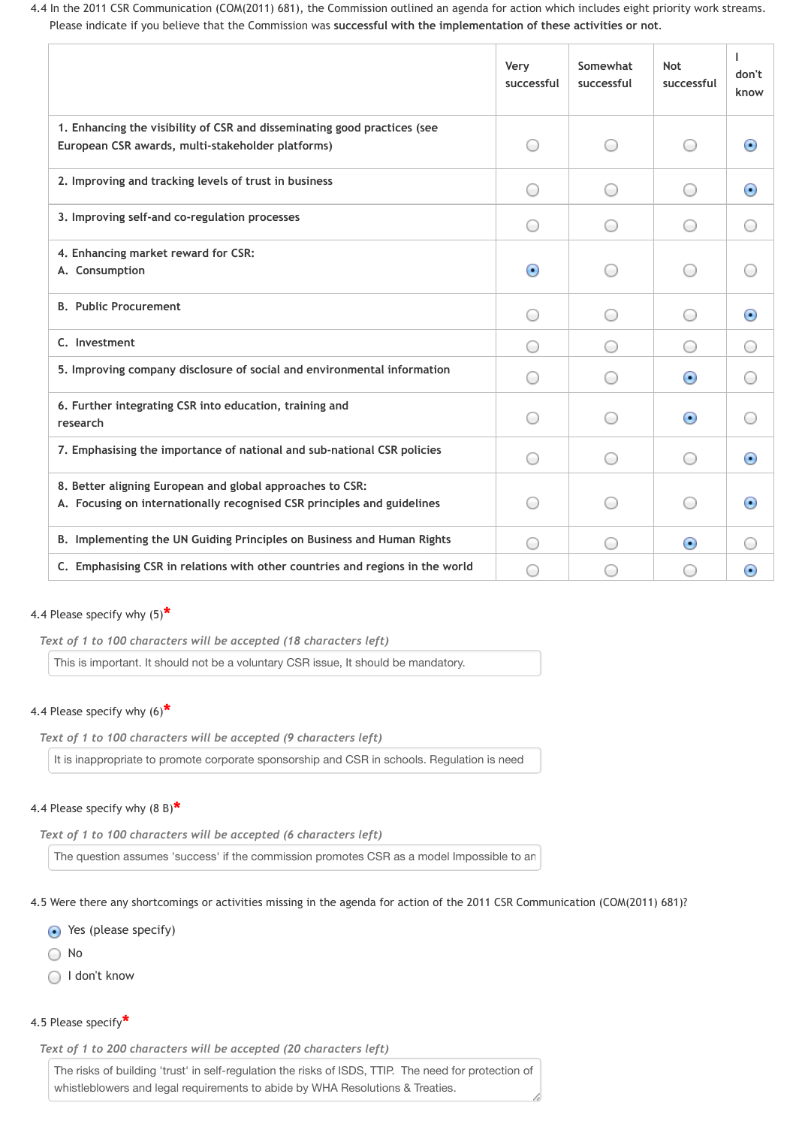4.4 In the 2011 CSR Communication (COM(2011) 681), the Commission outlined an agenda for action which includes eight priority work streams. Please indicate if you believe that the Commission was **successful with the implementation of these activities or not**.

|                                                                                                                                      | <b>Very</b><br>successful | Somewhat<br>successful | <b>Not</b><br>successful                    | don't<br>know            |
|--------------------------------------------------------------------------------------------------------------------------------------|---------------------------|------------------------|---------------------------------------------|--------------------------|
| 1. Enhancing the visibility of CSR and disseminating good practices (see<br>European CSR awards, multi-stakeholder platforms)        |                           |                        | $\left( \quad \right)$                      | $\left( \bullet \right)$ |
| 2. Improving and tracking levels of trust in business                                                                                |                           |                        |                                             | $\left( \bullet \right)$ |
| 3. Improving self-and co-regulation processes                                                                                        |                           |                        | $(\quad)$                                   |                          |
| 4. Enhancing market reward for CSR:<br>A. Consumption                                                                                | $\left( \bullet \right)$  |                        | $\left( \quad \right)$                      |                          |
| <b>B. Public Procurement</b>                                                                                                         |                           |                        | $\left( \quad \right)$                      | $\left( \bullet \right)$ |
| C. Investment                                                                                                                        |                           |                        | $($ )                                       | $($ )                    |
| 5. Improving company disclosure of social and environmental information                                                              |                           |                        | $\left( \bullet \right)$                    |                          |
| 6. Further integrating CSR into education, training and<br>research                                                                  |                           |                        | $\left( \bullet \right)$                    |                          |
| 7. Emphasising the importance of national and sub-national CSR policies                                                              |                           |                        | $($ )                                       | $_{\odot}$               |
| 8. Better aligning European and global approaches to CSR:<br>A. Focusing on internationally recognised CSR principles and guidelines |                           | $($ )                  | $\left(\begin{array}{c} \end{array}\right)$ | $_{\odot}$               |
| B. Implementing the UN Guiding Principles on Business and Human Rights                                                               |                           |                        | $\odot$                                     |                          |
| C. Emphasising CSR in relations with other countries and regions in the world                                                        |                           |                        | 0                                           | $_{\odot}$               |

*Text of 1 to 100 characters will be accepted (18 characters left)*

This is important. It should not be a voluntary CSR issue, It should be mandatory.

*Text of 1 to 100 characters will be accepted (9 characters left)*

It is inappropriate to promote corporate sponsorship and CSR in schools. Regulation is need

*Text of 1 to 100 characters will be accepted (6 characters left)*

The question assumes 'success' if the commission promotes CSR as a model Impossible to an

## 4.4 Please specify why (5) **\***

## 4.4 Please specify why (6) **\***

4.5 Were there any shortcomings or activities missing in the agenda for action of the 2011 CSR Communication (COM(2011) 681)?

## 4.4 Please specify why (8 B) **\***

Yes (please specify)

○ No

◯ I don't know

*Text of 1 to 200 characters will be accepted (20 characters left)*

4.5 Please specify **\***

The risks of building 'trust' in self-regulation the risks of ISDS, TTIP. The need for protection of whistleblowers and legal requirements to abide by WHA Resolutions & Treaties.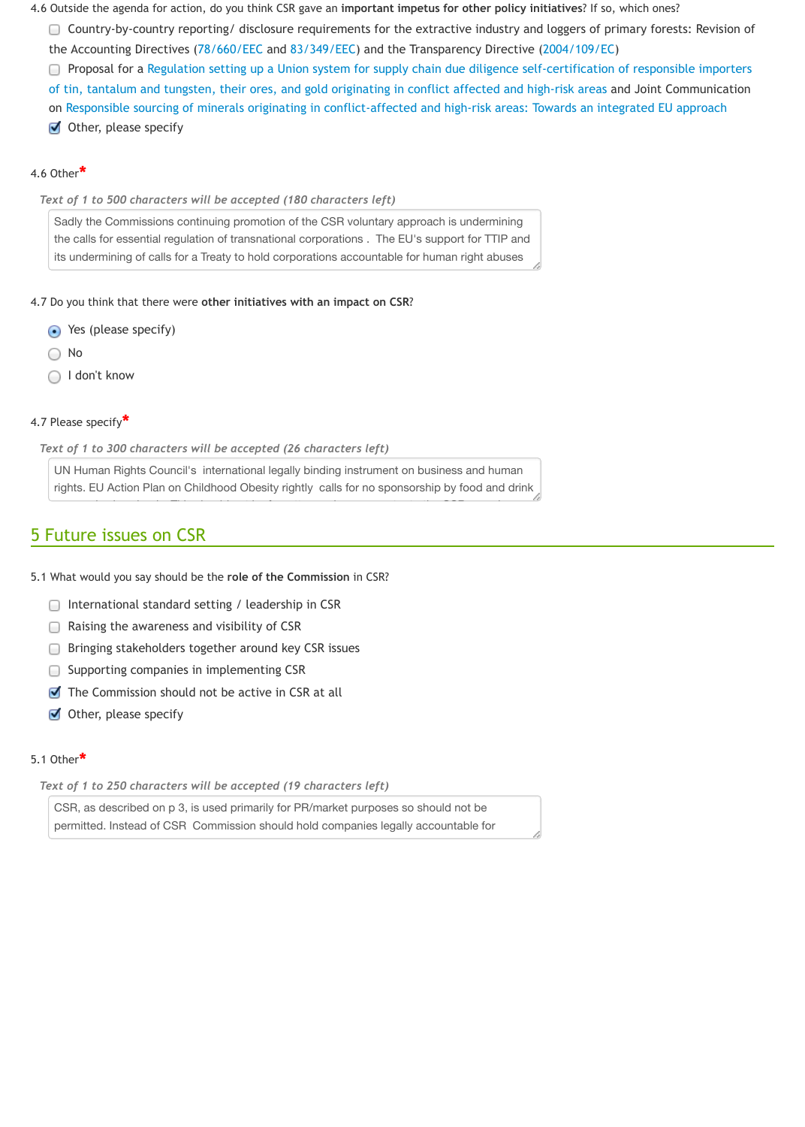*Text of 1 to 300 characters will be accepted (26 characters left)*

UN Human Rights Council's international legally binding instrument on business and human rights. EU Action Plan on C[hildhood Obes](http://eur-lex.europa.eu/LexUriServ/LexUriServ.do?uri=CELEX:31978L0660:EN:NOT)ity ri[ghtly calls for](http://eur-lex.europa.eu/LexUriServ/LexUriServ.do?uri=CELEX:31983L0349:en:HTML) no sponsorship by food and drink

# 5 Fu[ture issues on CSR](http://trade.ec.europa.eu/doclib/docs/2014/march/tradoc_152228.pdf)

- 5.1 What would you say should be the **role of the Commission** in CSR?
	- $\Box$  International standard setting / leadership in CSR
	- $\Box$  Raising the awareness and visibility of CSR
	- **Bringing stakeholders together around key CSR issues**
	- Supporting companies in implementing CSR
	- $\blacksquare$  The Commission should not be active in CSR at all
	- Other, please specify

## 5.1 Other **\***

#### *Text of 1 to 250 characters will be accepted (19 characters left)*

CSR, as described on p 3, is used primarily for PR/market purposes so should not be permitted. Instead of CSR Commission should hold companies legally accountable for